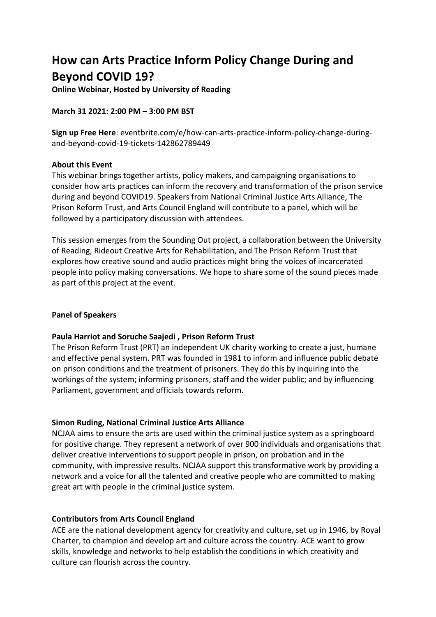# **How can Arts Practice Inform Policy Change During and Beyond COVID 19?**

**Online Webinar, Hosted by University of Reading**

## **March 31 2021: 2:00 PM – 3:00 PM BST**

**Sign up Free Here**: eventbrite.com/e/how-can-arts-practice-inform-policy-change-duringand-beyond-covid-19-tickets-142862789449

### **About this Event**

This webinar brings together artists, policy makers, and campaigning organisations to consider how arts practices can inform the recovery and transformation of the prison service during and beyond COVID19. Speakers from National Criminal Justice Arts Alliance, The Prison Reform Trust, and Arts Council England will contribute to a panel, which will be followed by a participatory discussion with attendees.

This session emerges from the Sounding Out project, a collaboration between the University of Reading, Rideout Creative Arts for Rehabilitation, and The Prison Reform Trust that explores how creative sound and audio practices might bring the voices of incarcerated people into policy making conversations. We hope to share some of the sound pieces made as part of this project at the event.

### **Panel of Speakers**

# **Paula Harriot and Soruche Saajedi , Prison Reform Trust**

The Prison Reform Trust (PRT) an independent UK charity working to create a just, humane and effective penal system. PRT was founded in 1981 to inform and influence public debate on prison conditions and the treatment of prisoners. They do this by inquiring into the workings of the system; informing prisoners, staff and the wider public; and by influencing Parliament, government and officials towards reform.

### **Simon Ruding, National Criminal Justice Arts Alliance**

NCJAA aims to ensure the arts are used within the criminal justice system as a springboard for positive change. They represent a network of over 900 individuals and organisations that deliver creative interventions to support people in prison, on probation and in the community, with impressive results. NCJAA support this transformative work by providing a network and a voice for all the talented and creative people who are committed to making great art with people in the criminal justice system.

# **Contributors from Arts Council England**

ACE are the national development agency for creativity and culture, set up in 1946, by Royal Charter, to champion and develop art and culture across the country. ACE want to grow skills, knowledge and networks to help establish the conditions in which creativity and culture can flourish across the country.